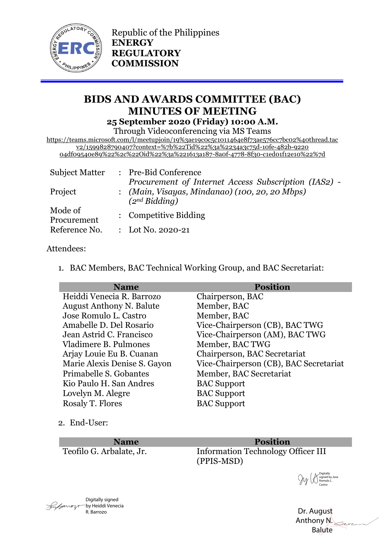

Republic of the Philippines **ENERGY REGULATORY COMMISSION**

# **BIDS AND AWARDS COMMITTEE (BAC) MINUTES OF MEETING 25 September 2020 (Friday) 10:00 A.M.**

Through Videoconferencing via MS Teams

https://teams.microsoft.com/l/meetupjoin/19%3ae19c0c5c1011464e8f73ae576cc7bc02%40thread.tac v2/1599828790407?context=%7b%22Tid%22%3a%2234a3c75d-10fe-482b-9220 04df09540e89%22%2c%22Oid%22%3a%221613a187-8a0f-4778-8f30-c1ed01f12e10%22%7d

| <b>Subject Matter</b>  |  | : Pre-Bid Conference<br>Procurement of Internet Access Subscription (IAS2) -<br>: (Main, Visayas, Mindanao) (100, 20, 20 Mbps)<br>(2 <sup>nd</sup> Bidding) |
|------------------------|--|-------------------------------------------------------------------------------------------------------------------------------------------------------------|
| Project                |  |                                                                                                                                                             |
| Mode of<br>Procurement |  | : Competitive Bidding                                                                                                                                       |
| Reference No.          |  | : Lot No. 2020-21                                                                                                                                           |

#### Attendees:

1. BAC Members, BAC Technical Working Group, and BAC Secretariat:

| <b>Name</b>                     | <b>Position</b>                        |
|---------------------------------|----------------------------------------|
| Heiddi Venecia R. Barrozo       | Chairperson, BAC                       |
| <b>August Anthony N. Balute</b> | Member, BAC                            |
| Jose Romulo L. Castro           | Member, BAC                            |
| Amabelle D. Del Rosario         | Vice-Chairperson (CB), BAC TWG         |
| Jean Astrid C. Francisco        | Vice-Chairperson (AM), BAC TWG         |
| Vladimere B. Pulmones           | Member, BAC TWG                        |
| Arjay Louie Eu B. Cuanan        | Chairperson, BAC Secretariat           |
| Marie Alexis Denise S. Gayon    | Vice-Chairperson (CB), BAC Secretariat |
| Primabelle S. Gobantes          | Member, BAC Secretariat                |
| Kio Paulo H. San Andres         | <b>BAC</b> Support                     |
| Lovelyn M. Alegre               | <b>BAC</b> Support                     |
| Rosaly T. Flores                | <b>BAC</b> Support                     |
|                                 |                                        |

2. End-User:

**Name Position**

Teofilo G. Arbalate, Jr. Information Technology Officer III (PPIS-MSD)

Digitally signed by Jose Romulo L. Castro

 Dr. August Anthony N. Balute

Digitally signed  $\sqrt{\frac{1}{2}}$ R. Barrozo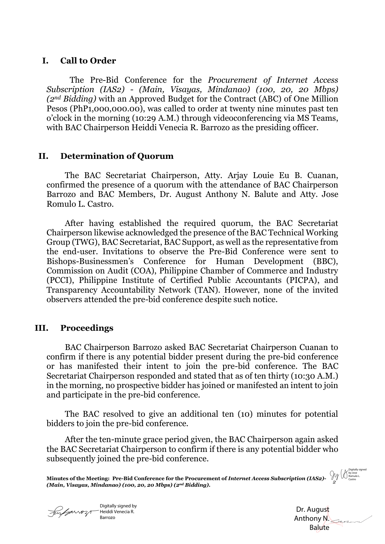## **I. Call to Order**

The Pre-Bid Conference for the *Procurement of Internet Access Subscription (IAS2) - (Main, Visayas, Mindanao) (100, 20, 20 Mbps) (2nd Bidding)* with an Approved Budget for the Contract (ABC) of One Million Pesos (PhP1,000,000.00), was called to order at twenty nine minutes past ten o'clock in the morning (10:29 A.M.) through videoconferencing via MS Teams, with BAC Chairperson Heiddi Venecia R. Barrozo as the presiding officer.

### **II. Determination of Quorum**

The BAC Secretariat Chairperson, Atty. Arjay Louie Eu B. Cuanan, confirmed the presence of a quorum with the attendance of BAC Chairperson Barrozo and BAC Members, Dr. August Anthony N. Balute and Atty. Jose Romulo L. Castro.

After having established the required quorum, the BAC Secretariat Chairperson likewise acknowledged the presence of the BAC Technical Working Group (TWG), BAC Secretariat, BAC Support, as well as the representative from the end-user. Invitations to observe the Pre-Bid Conference were sent to Bishops-Businessmen's Conference for Human Development (BBC), Commission on Audit (COA), Philippine Chamber of Commerce and Industry (PCCI), Philippine Institute of Certified Public Accountants (PICPA), and Transparency Accountability Network (TAN). However, none of the invited observers attended the pre-bid conference despite such notice.

## **III. Proceedings**

BAC Chairperson Barrozo asked BAC Secretariat Chairperson Cuanan to confirm if there is any potential bidder present during the pre-bid conference or has manifested their intent to join the pre-bid conference. The BAC Secretariat Chairperson responded and stated that as of ten thirty (10:30 A.M.) in the morning, no prospective bidder has joined or manifested an intent to join and participate in the pre-bid conference.

The BAC resolved to give an additional ten (10) minutes for potential bidders to join the pre-bid conference.

After the ten-minute grace period given, the BAC Chairperson again asked the BAC Secretariat Chairperson to confirm if there is any potential bidder who subsequently joined the pre-bid conference.

**Minutes of the Meeting: Pre-Bid Conference for the Procurement of** *Internet Access Subscription (IAS2)- 2 (Main, Visayas, Mindanao) (100, 20, 20 Mbps) (2nd Bidding).*

Digitally signed by Heiddi Venecia R. Barrozo

 Dr. August Anthony N. Balute

Digitally signed by Jose Romulo L. Castro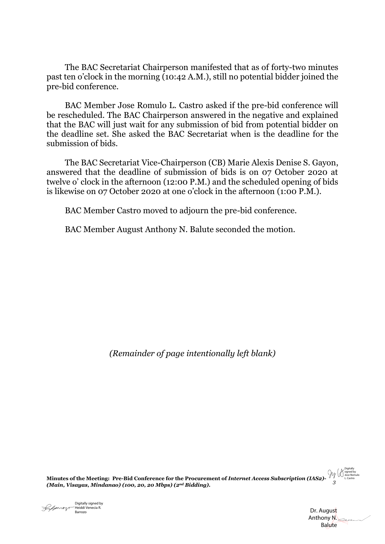The BAC Secretariat Chairperson manifested that as of forty-two minutes past ten o'clock in the morning (10:42 A.M.), still no potential bidder joined the pre-bid conference.

BAC Member Jose Romulo L. Castro asked if the pre-bid conference will be rescheduled. The BAC Chairperson answered in the negative and explained that the BAC will just wait for any submission of bid from potential bidder on the deadline set. She asked the BAC Secretariat when is the deadline for the submission of bids.

The BAC Secretariat Vice-Chairperson (CB) Marie Alexis Denise S. Gayon, answered that the deadline of submission of bids is on 07 October 2020 at twelve o' clock in the afternoon (12:00 P.M.) and the scheduled opening of bids is likewise on 07 October 2020 at one o'clock in the afternoon (1:00 P.M.).

BAC Member Castro moved to adjourn the pre-bid conference.

BAC Member August Anthony N. Balute seconded the motion.

*(Remainder of page intentionally left blank)*

**Minutes of the Meeting: Pre-Bid Conference for the Procurement of** *Internet Access Subscription (IAS2)- 3 (Main, Visayas, Mindanao) (100, 20, 20 Mbps) (2nd Bidding).* Digitally signed by Jose Romulo L. Castro



 Dr. August Anthony N. Balute